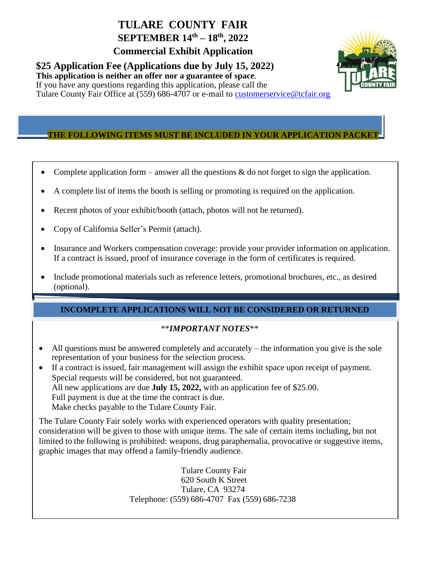## **TULARE COUNTY FAIR SEPTEMBER 14 th – 18 th , 2022**

**Commercial Exhibit Application**

**\$25 Application Fee (Applications due by July 15, 2022)**

**This application is neither an offer nor a guarantee of space**.



If you have any questions regarding this application, please call the Tulare County Fair Office at (559) 686-4707 or e-mail to [customerservice@](mailto:concessions@tcfair.org)tcfair.org

### Tulare County Fair, 215 Martin Luther King Jr. Ave Tulare, CA 93274 **THE FOLLOWING ITEMS MUST BE INCLUDED IN YOUR APPLICATION PACKET**

- Complete application form answer all the questions  $\&$  do not forget to sign the application.
- A complete list of items the booth is selling or promoting is required on the application.
- Recent photos of your exhibit/booth (attach, photos will not be returned).
- Copy of California Seller's Permit (attach).
- Insurance and Workers compensation coverage: provide your provider information on application. If a contract is issued, proof of insurance coverage in the form of certificates is required.
- Include promotional materials such as reference letters, promotional brochures, etc., as desired (optional).

#### **INCOMPLETE APPLICATIONS WILL NOT BE CONSIDERED OR RETURNED**

#### \*\**IMPORTANT NOTES*\*\*

- All questions must be answered completely and accurately the information you give is the sole representation of your business for the selection process.
- If a contract is issued, fair management will assign the exhibit space upon receipt of payment. Special requests will be considered, but not guaranteed. All new applications are due **July 15, 2022,** with an application fee of \$25.00. Full payment is due at the time the contract is due. Make checks payable to the Tulare County Fair.

The Tulare County Fair solely works with experienced operators with quality presentation; consideration will be given to those with unique items. The sale of certain items including, but not limited to the following is prohibited: weapons, drug paraphernalia, provocative or suggestive items, graphic images that may offend a family-friendly audience.

> Tulare County Fair 620 South K Street Tulare, CA 93274 Telephone: (559) 686-4707 Fax (559) 686-7238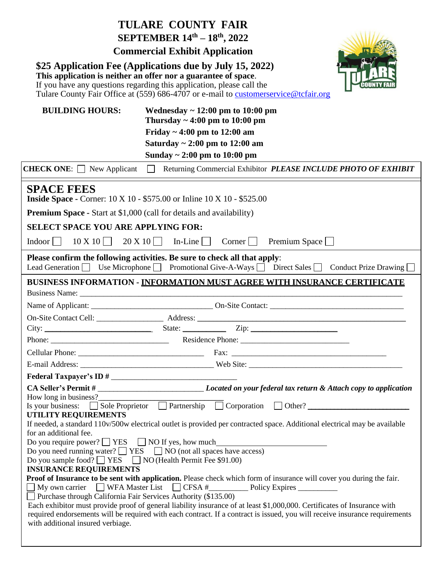|                                                                                                     | <b>TULARE COUNTY FAIR</b><br>SEPTEMBER 14th - 18th, 2022<br><b>Commercial Exhibit Application</b>                                                                                                                                                                                                                                                                                                                                               |
|-----------------------------------------------------------------------------------------------------|-------------------------------------------------------------------------------------------------------------------------------------------------------------------------------------------------------------------------------------------------------------------------------------------------------------------------------------------------------------------------------------------------------------------------------------------------|
|                                                                                                     | \$25 Application Fee (Applications due by July 15, 2022)<br>This application is neither an offer nor a guarantee of space.<br>If you have any questions regarding this application, please call the<br>Tulare County Fair Office at (559) 686-4707 or e-mail to customerservice@tcfair.org                                                                                                                                                      |
| <b>BUILDING HOURS:</b>                                                                              | Wednesday $\sim$ 12:00 pm to 10:00 pm<br>Thursday $\sim 4:00 \text{ pm}$ to 10:00 pm<br>Friday ~ 4:00 pm to $12:00$ am<br>Saturday $\sim 2:00$ pm to 12:00 am<br>Sunday $\sim 2:00$ pm to 10:00 pm                                                                                                                                                                                                                                              |
| <b>CHECK ONE:</b> $\Box$ New Applicant                                                              | Returning Commercial Exhibitor PLEASE INCLUDE PHOTO OF EXHIBIT<br>$\Box$                                                                                                                                                                                                                                                                                                                                                                        |
| <b>SPACE FEES</b><br><b>Premium Space - Start at \$1,000 (call for details and availability)</b>    | <b>Inside Space - Corner: 10 X 10 - \$575.00 or Inline 10 X 10 - \$525.00</b>                                                                                                                                                                                                                                                                                                                                                                   |
| <b>SELECT SPACE YOU ARE APPLYING FOR:</b>                                                           |                                                                                                                                                                                                                                                                                                                                                                                                                                                 |
| $10 \times 10$  <br>$Indoor$                                                                        | $20 \times 10$<br>$In$ -Line $\vert \vert$<br>Premium Space $\Box$<br>$Corner \mid \mid$                                                                                                                                                                                                                                                                                                                                                        |
| Lead Generation $\Box$                                                                              | Please confirm the following activities. Be sure to check all that apply:<br>Use Microphone Promotional Give-A-Ways Direct Sales Conduct Prize Drawing                                                                                                                                                                                                                                                                                          |
|                                                                                                     | BUSINESS INFORMATION - INFORMATION MUST AGREE WITH INSURANCE CERTIFICATE                                                                                                                                                                                                                                                                                                                                                                        |
|                                                                                                     |                                                                                                                                                                                                                                                                                                                                                                                                                                                 |
|                                                                                                     |                                                                                                                                                                                                                                                                                                                                                                                                                                                 |
|                                                                                                     |                                                                                                                                                                                                                                                                                                                                                                                                                                                 |
|                                                                                                     |                                                                                                                                                                                                                                                                                                                                                                                                                                                 |
| Phone:                                                                                              |                                                                                                                                                                                                                                                                                                                                                                                                                                                 |
|                                                                                                     |                                                                                                                                                                                                                                                                                                                                                                                                                                                 |
|                                                                                                     |                                                                                                                                                                                                                                                                                                                                                                                                                                                 |
|                                                                                                     |                                                                                                                                                                                                                                                                                                                                                                                                                                                 |
| How long in business?                                                                               | CA Seller's Permit # __________________________________Located on your federal tax return & Attach copy to application<br>Is your business: $\Box$ Sole Proprietor $\Box$ Partnership $\Box$ Corporation $\Box$ Other?                                                                                                                                                                                                                          |
| <b>UTILITY REQUIREMENTS</b><br>for an additional fee.                                               | If needed, a standard 110v/500w electrical outlet is provided per contracted space. Additional electrical may be available                                                                                                                                                                                                                                                                                                                      |
|                                                                                                     | Do you require power? $\Box$ YES $\Box$ NO If yes, how much<br>Do you need running water? $\Box$ YES $\Box$ NO (not all spaces have access)                                                                                                                                                                                                                                                                                                     |
| Do you sample food? ■ YES ■ NO (Health Permit Fee \$91.00)<br><b>INSURANCE REQUIREMENTS</b>         |                                                                                                                                                                                                                                                                                                                                                                                                                                                 |
| Purchase through California Fair Services Authority (\$135.00)<br>with additional insured verbiage. | Proof of Insurance to be sent with application. Please check which form of insurance will cover you during the fair.<br>Ny own carrier □ WFA Master List □ CFSA # □ Policy Expires □<br>Each exhibitor must provide proof of general liability insurance of at least \$1,000,000. Certificates of Insurance with<br>required endorsements will be required with each contract. If a contract is issued, you will receive insurance requirements |
|                                                                                                     |                                                                                                                                                                                                                                                                                                                                                                                                                                                 |